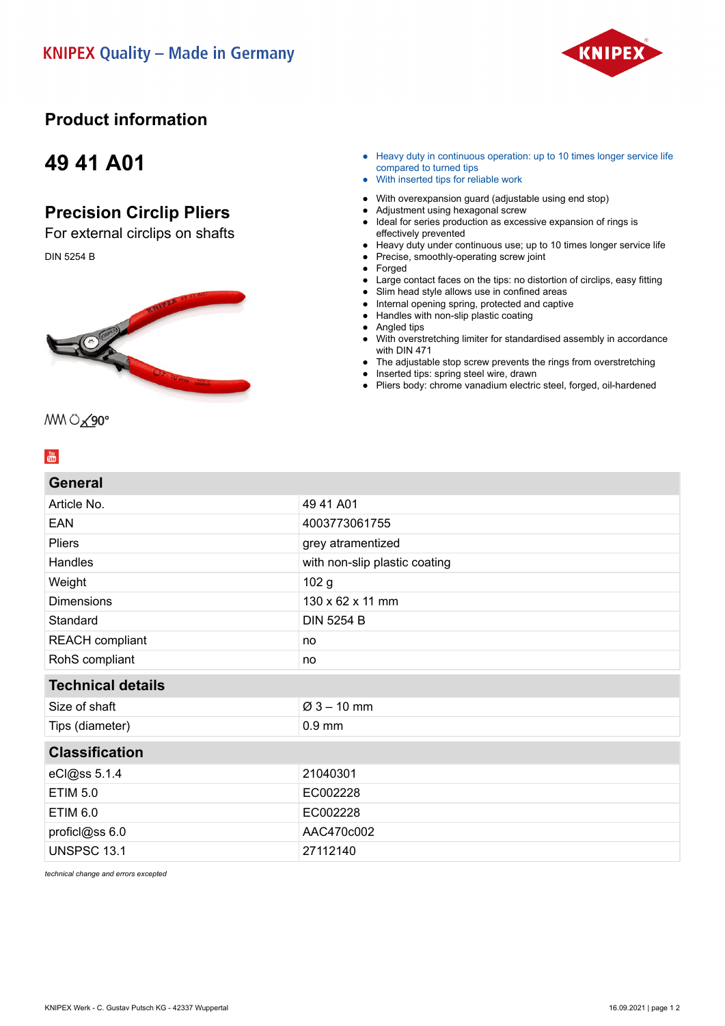

## **Product information**

## **49 41 A01**

## **Precision Circlip Pliers**

For external circlips on shafts DIN 5254 B



- Heavy duty in continuous operation: up to 10 times longer service life compared to turned tips
- With inserted tips for reliable work
- With overexpansion guard (adjustable using end stop)
- Adjustment using hexagonal screw
- Ideal for series production as excessive expansion of rings is effectively prevented
- Heavy duty under continuous use; up to 10 times longer service life
- Precise, smoothly-operating screw joint
- Forged
- Large contact faces on the tips: no distortion of circlips, easy fitting
- Slim head style allows use in confined areas
- Internal opening spring, protected and captive ● Handles with non-slip plastic coating
- 
- Angled tips ● With overstretching limiter for standardised assembly in accordance
- with DIN 471 The adjustable stop screw prevents the rings from overstretching
- Inserted tips: spring steel wire, drawn
- Pliers body: chrome vanadium electric steel, forged, oil-hardened

### $\frac{\gamma_{\text{out}}}{\gamma_{\text{max}}}$

#### **General**

MM 0 290°

| <b>99898</b>                  |  |
|-------------------------------|--|
| 49 41 A01                     |  |
| 4003773061755                 |  |
| grey atramentized             |  |
| with non-slip plastic coating |  |
| 102 <sub>g</sub>              |  |
| 130 x 62 x 11 mm              |  |
| <b>DIN 5254 B</b>             |  |
| no                            |  |
| no                            |  |
|                               |  |
| $Ø3 - 10$ mm                  |  |
| $0.9$ mm                      |  |
| <b>Classification</b>         |  |
| 21040301                      |  |
| EC002228                      |  |
| EC002228                      |  |
| AAC470c002                    |  |
| 27112140                      |  |
|                               |  |

*technical change and errors excepted*